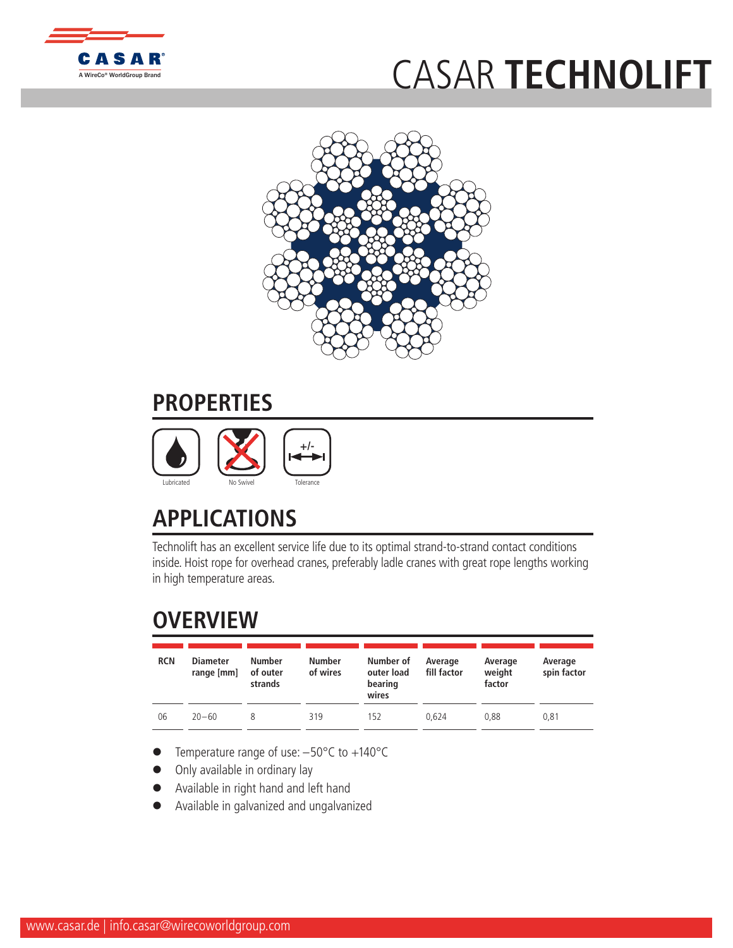

## C[ASAR](http://www.WireCoWorldGroup.com) **TECHNOLIFT**



## **PROPERTIES**



## **APPLICATIONS**

Technolift has an excellent service life due to its optimal strand-to-strand contact conditions inside. Hoist rope for overhead cranes, preferably ladle cranes with great rope lengths working in high temperature areas.

## **OVERVIEW**

| <b>RCN</b> | <b>Diameter</b><br>range [mm] | Number<br>of outer<br>strands | <b>Number</b><br>of wires | Number of<br>outer load<br>bearing<br>wires | Average<br>fill factor | Average<br>weight<br>factor | Average<br>spin factor |
|------------|-------------------------------|-------------------------------|---------------------------|---------------------------------------------|------------------------|-----------------------------|------------------------|
| 06         | $20 - 60$                     |                               | 319                       | 152                                         | 0.624                  | 0.88                        | 0.81                   |

- Temperature range of use:  $-50^{\circ}$ C to  $+140^{\circ}$ C
- Only available in ordinary lay
- l Available in right hand and left hand
- l Available in galvanized and ungalvanized